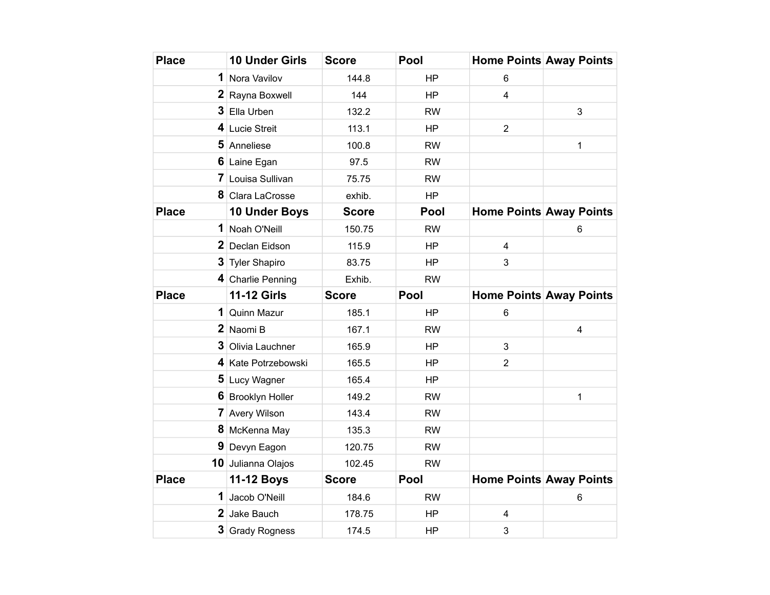| <b>Place</b> | <b>10 Under Girls</b> | <b>Score</b> | Pool      | <b>Home Points Away Points</b> |                         |
|--------------|-----------------------|--------------|-----------|--------------------------------|-------------------------|
|              | 1 Nora Vavilov        | 144.8        | <b>HP</b> | 6                              |                         |
|              | 2 Rayna Boxwell       | 144          | <b>HP</b> | $\overline{4}$                 |                         |
|              | 3 Ella Urben          | 132.2        | <b>RW</b> |                                | 3                       |
|              | 4 Lucie Streit        | 113.1        | <b>HP</b> | $\overline{2}$                 |                         |
|              | 5 Anneliese           | 100.8        | <b>RW</b> |                                | 1                       |
|              | 6 Laine Egan          | 97.5         | <b>RW</b> |                                |                         |
|              | 7 Louisa Sullivan     | 75.75        | <b>RW</b> |                                |                         |
|              | 8 Clara LaCrosse      | exhib.       | HP        |                                |                         |
| <b>Place</b> | 10 Under Boys         | <b>Score</b> | Pool      | <b>Home Points Away Points</b> |                         |
|              | 1 Noah O'Neill        | 150.75       | <b>RW</b> |                                | 6                       |
|              | 2 Declan Eidson       | 115.9        | <b>HP</b> | 4                              |                         |
|              | 3 Tyler Shapiro       | 83.75        | <b>HP</b> | 3                              |                         |
|              | 4 Charlie Penning     | Exhib.       | <b>RW</b> |                                |                         |
| <b>Place</b> | <b>11-12 Girls</b>    | <b>Score</b> | Pool      | <b>Home Points Away Points</b> |                         |
|              | 1 Quinn Mazur         | 185.1        | <b>HP</b> | 6                              |                         |
|              | 2 Naomi B             | 167.1        | <b>RW</b> |                                | $\overline{\mathbf{4}}$ |
|              | 3 Olivia Lauchner     | 165.9        | <b>HP</b> | 3                              |                         |
|              | 4 Kate Potrzebowski   | 165.5        | <b>HP</b> | $\overline{2}$                 |                         |
|              | 5 Lucy Wagner         | 165.4        | <b>HP</b> |                                |                         |
|              | 6 Brooklyn Holler     | 149.2        | <b>RW</b> |                                | 1                       |
|              | <b>7</b> Avery Wilson | 143.4        | <b>RW</b> |                                |                         |
|              | 8 McKenna May         | 135.3        | <b>RW</b> |                                |                         |
|              | 9 Devyn Eagon         | 120.75       | <b>RW</b> |                                |                         |
|              | 10 Julianna Olajos    | 102.45       | <b>RW</b> |                                |                         |
| <b>Place</b> | <b>11-12 Boys</b>     | <b>Score</b> | Pool      | <b>Home Points Away Points</b> |                         |
| 1            | Jacob O'Neill         | 184.6        | <b>RW</b> |                                | 6                       |
|              | 2 Jake Bauch          | 178.75       | <b>HP</b> | 4                              |                         |
|              | 3 Grady Rogness       | 174.5        | <b>HP</b> | 3                              |                         |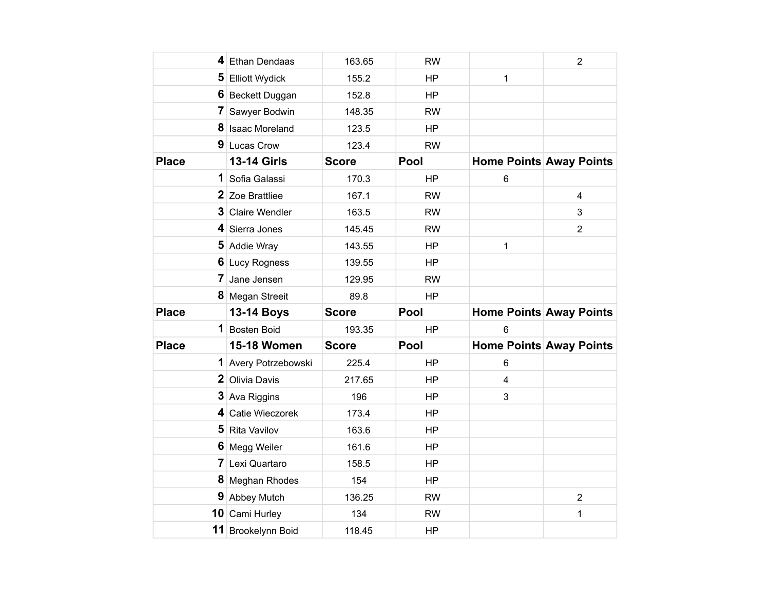|              | 4 Ethan Dendaas      | 163.65       | <b>RW</b> |                                | $\overline{2}$ |
|--------------|----------------------|--------------|-----------|--------------------------------|----------------|
|              | 5 Elliott Wydick     | 155.2        | <b>HP</b> | $\mathbf{1}$                   |                |
|              | 6 Beckett Duggan     | 152.8        | <b>HP</b> |                                |                |
| 7            | Sawyer Bodwin        | 148.35       | <b>RW</b> |                                |                |
|              | 8 Isaac Moreland     | 123.5        | <b>HP</b> |                                |                |
|              | 9 Lucas Crow         | 123.4        | <b>RW</b> |                                |                |
| <b>Place</b> | <b>13-14 Girls</b>   | <b>Score</b> | Pool      | Home Points Away Points        |                |
| 1            | Sofia Galassi        | 170.3        | HP        | $6\phantom{1}$                 |                |
|              | 2 Zoe Brattliee      | 167.1        | <b>RW</b> |                                | 4              |
|              | 3 Claire Wendler     | 163.5        | <b>RW</b> |                                | 3              |
|              | 4 Sierra Jones       | 145.45       | <b>RW</b> |                                | $\overline{2}$ |
|              | 5 Addie Wray         | 143.55       | <b>HP</b> | $\mathbf{1}$                   |                |
|              | 6 Lucy Rogness       | 139.55       | HP        |                                |                |
| 7            | Jane Jensen          | 129.95       | <b>RW</b> |                                |                |
|              | 8 Megan Streeit      | 89.8         | <b>HP</b> |                                |                |
| <b>Place</b> | <b>13-14 Boys</b>    | <b>Score</b> | Pool      | <b>Home Points Away Points</b> |                |
|              | 1 Bosten Boid        | 193.35       | <b>HP</b> | 6                              |                |
| <b>Place</b> | <b>15-18 Women</b>   | <b>Score</b> | Pool      | Home Points Away Points        |                |
|              | 1 Avery Potrzebowski | 225.4        | <b>HP</b> | 6                              |                |
|              | 2 Olivia Davis       | 217.65       | <b>HP</b> | $\overline{\mathbf{4}}$        |                |
|              | 3 Ava Riggins        | 196          | HP        | 3                              |                |
|              | 4 Catie Wieczorek    | 173.4        | <b>HP</b> |                                |                |
|              | 5 Rita Vavilov       | 163.6        | <b>HP</b> |                                |                |
|              | 6 Megg Weiler        | 161.6        | <b>HP</b> |                                |                |
|              | 7 Lexi Quartaro      | 158.5        | <b>HP</b> |                                |                |
|              |                      |              |           |                                |                |
|              | 8 Meghan Rhodes      | 154          | <b>HP</b> |                                |                |
| 9            | Abbey Mutch          | 136.25       | <b>RW</b> |                                | $\overline{2}$ |
|              | 10 Cami Hurley       | 134          | <b>RW</b> |                                | 1              |